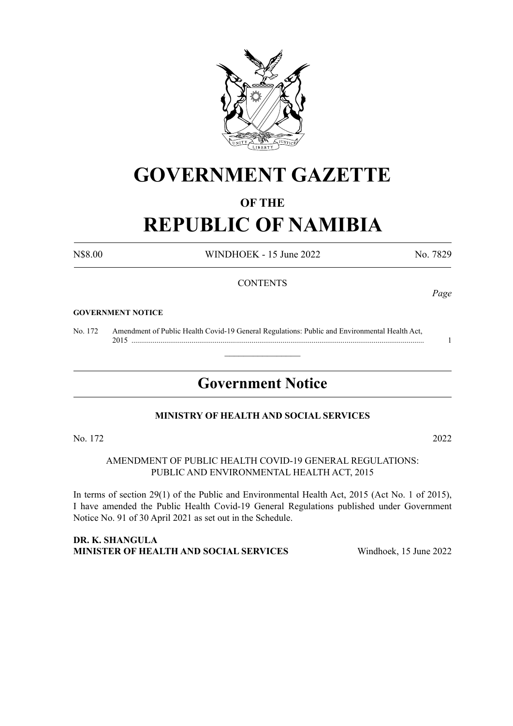

# **GOVERNMENT GAZETTE**

# **OF THE**

# **REPUBLIC OF NAMIBIA**

N\$8.00 WINDHOEK - 15 June 2022 No. 7829

#### **CONTENTS**

#### **GOVERNMENT NOTICE**

No. 172 Amendment of Public Health Covid-19 General Regulations: Public and Environmental Health Act, 2015 ....................................................................................................................................................... 1

# **Government Notice**

 $\overline{\phantom{a}}$  , where  $\overline{\phantom{a}}$ 

#### **MINISTRY OF HEALTH AND SOCIAL SERVICES**

No. 172 2022

AMENDMENT OF PUBLIC HEALTH COVID-19 GENERAL REGULATIONS: PUBLIC AND ENVIRONMENTAL HEALTH ACT, 2015

In terms of section 29(1) of the Public and Environmental Health Act, 2015 (Act No. 1 of 2015), I have amended the Public Health Covid-19 General Regulations published under Government Notice No. 91 of 30 April 2021 as set out in the Schedule.

**DR. K. SHANGULA MINISTER OF HEALTH AND SOCIAL SERVICES** Windhoek, 15 June 2022

*Page*